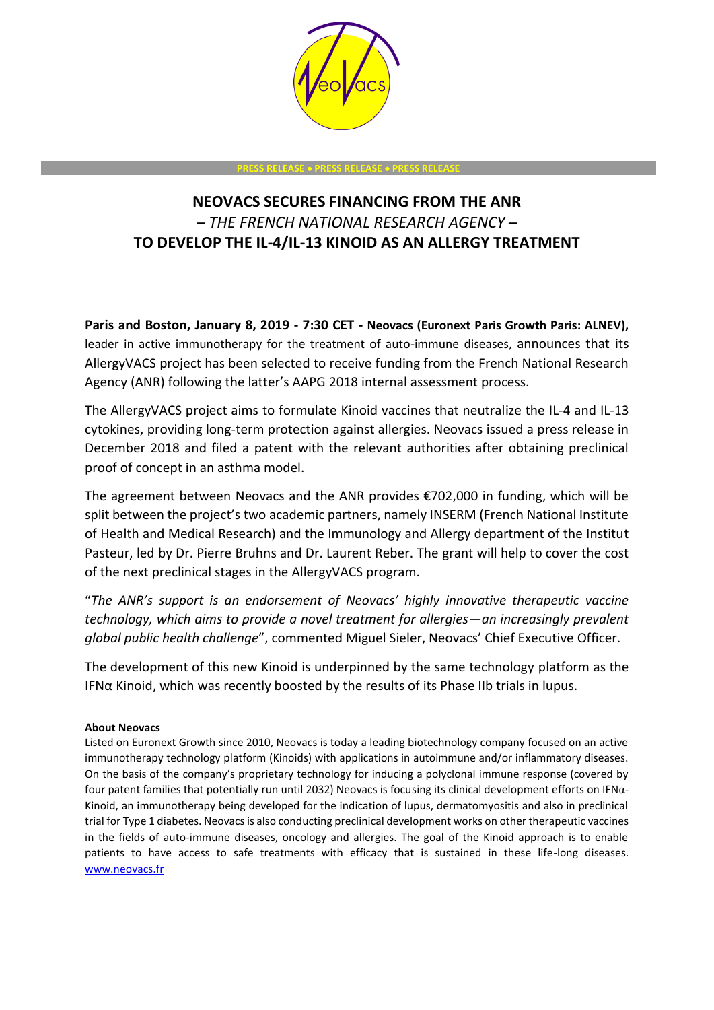

## **PRESS RELEASE** • **PRESS RELEASE** • **PRESS RELEASE**

## **NEOVACS SECURES FINANCING FROM THE ANR**  *– THE FRENCH NATIONAL RESEARCH AGENCY –* **TO DEVELOP THE IL-4/IL-13 KINOID AS AN ALLERGY TREATMENT**

**Paris and Boston, January 8, 2019 - 7:30 CET - Neovacs (Euronext Paris Growth Paris: ALNEV),** leader in active immunotherapy for the treatment of auto-immune diseases, announces that its AllergyVACS project has been selected to receive funding from the French National Research Agency (ANR) following the latter's AAPG 2018 internal assessment process.

The AllergyVACS project aims to formulate Kinoid vaccines that neutralize the IL-4 and IL-13 cytokines, providing long-term protection against allergies. Neovacs issued a press release in December 2018 and filed a patent with the relevant authorities after obtaining preclinical proof of concept in an asthma model.

The agreement between Neovacs and the ANR provides €702,000 in funding, which will be split between the project's two academic partners, namely INSERM (French National Institute of Health and Medical Research) and the Immunology and Allergy department of the Institut Pasteur, led by Dr. Pierre Bruhns and Dr. Laurent Reber. The grant will help to cover the cost of the next preclinical stages in the AllergyVACS program.

"*The ANR's support is an endorsement of Neovacs' highly innovative therapeutic vaccine technology, which aims to provide a novel treatment for allergies—an increasingly prevalent global public health challenge*", commented Miguel Sieler, Neovacs' Chief Executive Officer.

The development of this new Kinoid is underpinned by the same technology platform as the IFNα Kinoid, which was recently boosted by the results of its Phase IIb trials in lupus.

## **About Neovacs**

Listed on Euronext Growth since 2010, Neovacs is today a leading biotechnology company focused on an active immunotherapy technology platform (Kinoids) with applications in autoimmune and/or inflammatory diseases. On the basis of the company's proprietary technology for inducing a polyclonal immune response (covered by four patent families that potentially run until 2032) Neovacs is focusing its clinical development efforts on IFNα-Kinoid, an immunotherapy being developed for the indication of lupus, dermatomyositis and also in preclinical trial for Type 1 diabetes. Neovacs is also conducting preclinical development works on other therapeutic vaccines in the fields of auto-immune diseases, oncology and allergies. The goal of the Kinoid approach is to enable patients to have access to safe treatments with efficacy that is sustained in these life-long diseases. [www.neovacs.fr](http://www.neovacs.fr/)